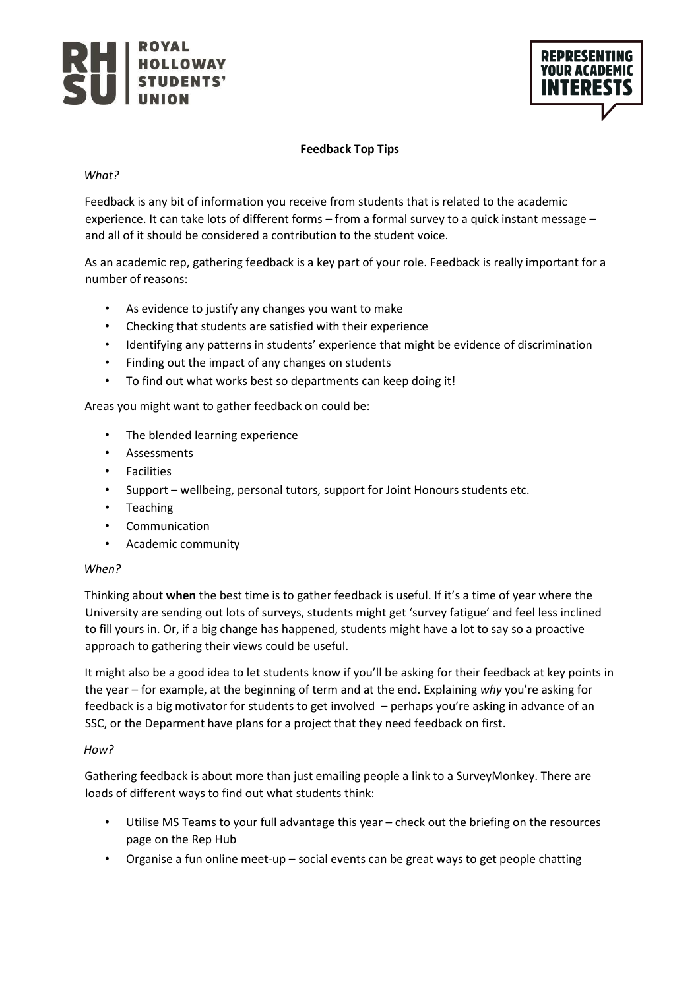



## **Feedback Top Tips**

### *What?*

Feedback is any bit of information you receive from students that is related to the academic experience. It can take lots of different forms – from a formal survey to a quick instant message – and all of it should be considered a contribution to the student voice.

As an academic rep, gathering feedback is a key part of your role. Feedback is really important for a number of reasons:

- As evidence to justify any changes you want to make
- Checking that students are satisfied with their experience
- Identifying any patterns in students' experience that might be evidence of discrimination
- Finding out the impact of any changes on students
- To find out what works best so departments can keep doing it!

Areas you might want to gather feedback on could be:

- The blended learning experience
- Assessments
- Facilities
- Support wellbeing, personal tutors, support for Joint Honours students etc.
- Teaching
- Communication
- Academic community

## *When?*

Thinking about **when** the best time is to gather feedback is useful. If it's a time of year where the University are sending out lots of surveys, students might get 'survey fatigue' and feel less inclined to fill yours in. Or, if a big change has happened, students might have a lot to say so a proactive approach to gathering their views could be useful.

It might also be a good idea to let students know if you'll be asking for their feedback at key points in the year – for example, at the beginning of term and at the end. Explaining *why* you're asking for feedback is a big motivator for students to get involved – perhaps you're asking in advance of an SSC, or the Deparment have plans for a project that they need feedback on first.

#### *How?*

Gathering feedback is about more than just emailing people a link to a SurveyMonkey. There are loads of different ways to find out what students think:

- Utilise MS Teams to your full advantage this year check out the briefing on the resources page on the Rep Hub
- Organise a fun online meet-up social events can be great ways to get people chatting